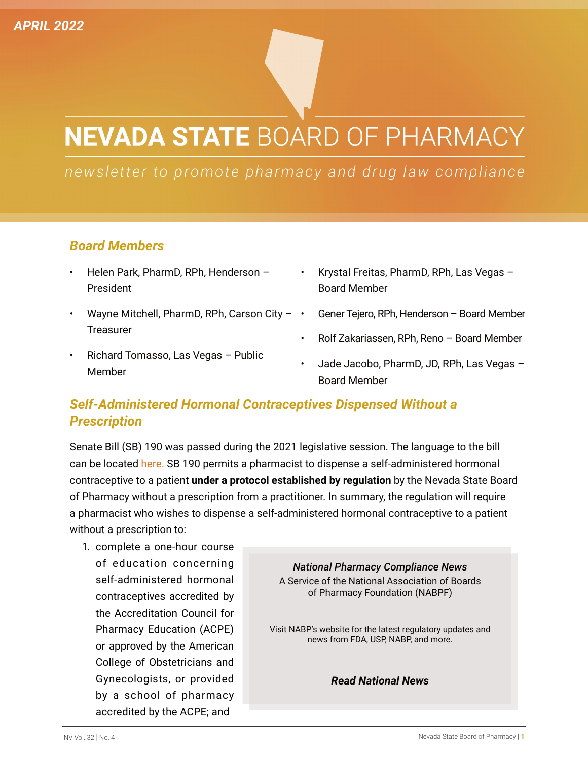# **NEVADA STATE BOARD OF PHARMACY**

newsletter to promote pharmacy and drug law compliance

### *Board Members*

- Helen Park, PharmD, RPh, Henderson President
- Wayne Mitchell, PharmD, RPh, Carson City  $\cdot$ **Treasurer**
- Richard Tomasso, Las Vegas Public Member
- Krystal Freitas, PharmD, RPh, Las Vegas Board Member
- Gener Tejero, RPh, Henderson Board Member
- Rolf Zakariassen, RPh, Reno Board Member
- Jade Jacobo, PharmD, JD, RPh, Las Vegas Board Member

## *Self-Administered Hormonal Contraceptives Dispensed Without a Prescription*

Senate Bill (SB) 190 was passed during the 2021 legislative session. The language to the bill can be located [here](https://www.leg.state.nv.us/App/NELIS/REL/81st2021/Bill/7622/Text). SB 190 permits a pharmacist to dispense a self-administered hormonal contraceptive to a patient **under a protocol established by regulation** by the Nevada State Board of Pharmacy without a prescription from a practitioner. In summary, the regulation will require a pharmacist who wishes to dispense a self-administered hormonal contraceptive to a patient without a prescription to:

1. complete a one-hour course of education concerning self-administered hormonal contraceptives accredited by the Accreditation Council for Pharmacy Education (ACPE) or approved by the American College of Obstetricians and Gynecologists, or provided by a school of pharmacy accredited by the ACPE; and

*National Pharmacy Compliance News*  A Service of the National Association of Boards of Pharmacy Foundation (NABPF)

Visit NABP's website for the latest regulatory updates and news from FDA, USP, NABP, and more.

*[Read National News](https://nabp.pharmacy/newsroom/national-news/)*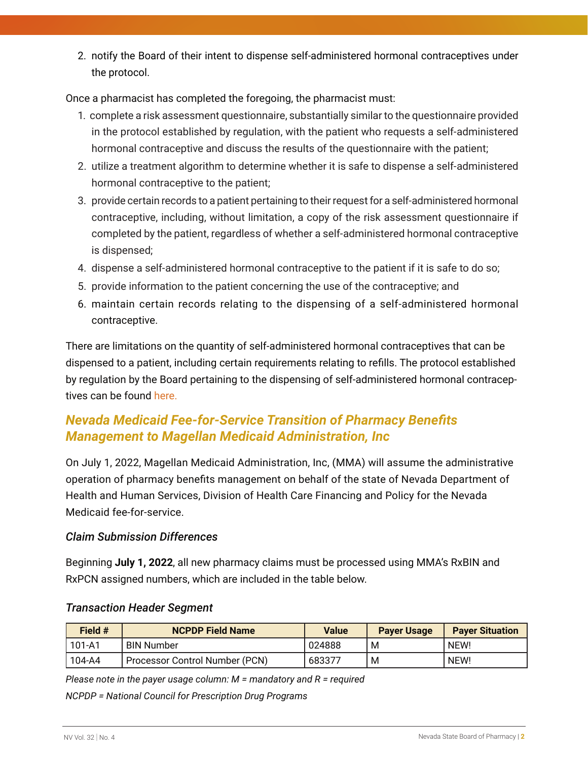2. notify the Board of their intent to dispense self-administered hormonal contraceptives under the protocol.

Once a pharmacist has completed the foregoing, the pharmacist must:

- 1. complete a risk assessment questionnaire, substantially similar to the questionnaire provided in the protocol established by regulation, with the patient who requests a self-administered hormonal contraceptive and discuss the results of the questionnaire with the patient;
- 2. utilize a treatment algorithm to determine whether it is safe to dispense a self-administered hormonal contraceptive to the patient;
- 3. provide certain records to a patient pertaining to their request for a self-administered hormonal contraceptive, including, without limitation, a copy of the risk assessment questionnaire if completed by the patient, regardless of whether a self-administered hormonal contraceptive is dispensed;
- 4. dispense a self-administered hormonal contraceptive to the patient if it is safe to do so;
- 5. provide information to the patient concerning the use of the contraceptive; and
- 6. maintain certain records relating to the dispensing of a self-administered hormonal contraceptive.

There are limitations on the quantity of self-administered hormonal contraceptives that can be dispensed to a patient, including certain requirements relating to refills. The protocol established by regulation by the Board pertaining to the dispensing of self-administered hormonal contraceptives can be found [here.](https://www.leg.state.nv.us/Register/2021Register/R036-21AP.pdf)

## *Nevada Medicaid Fee-for-Service Transition of Pharmacy Benefits Management to Magellan Medicaid Administration, Inc*

On July 1, 2022, Magellan Medicaid Administration, Inc, (MMA) will assume the administrative operation of pharmacy benefits management on behalf of the state of Nevada Department of Health and Human Services, Division of Health Care Financing and Policy for the Nevada Medicaid fee-for-service.

#### *Claim Submission Differences*

Beginning **July 1, 2022**, all new pharmacy claims must be processed using MMA's RxBIN and RxPCN assigned numbers, which are included in the table below.

| Field # | <b>NCPDP Field Name</b>        | <b>Value</b> | <b>Payer Usage</b> | <b>Paver Situation</b> |
|---------|--------------------------------|--------------|--------------------|------------------------|
| 101-A1  | <b>BIN Number</b>              | 024888       | M                  | NEW!                   |
| 104-A4  | Processor Control Number (PCN) | 683377       | M                  | NEW!                   |

#### *Transaction Header Segment*

*Please note in the payer usage column: M = mandatory and R = required*

*NCPDP = National Council for Prescription Drug Programs*